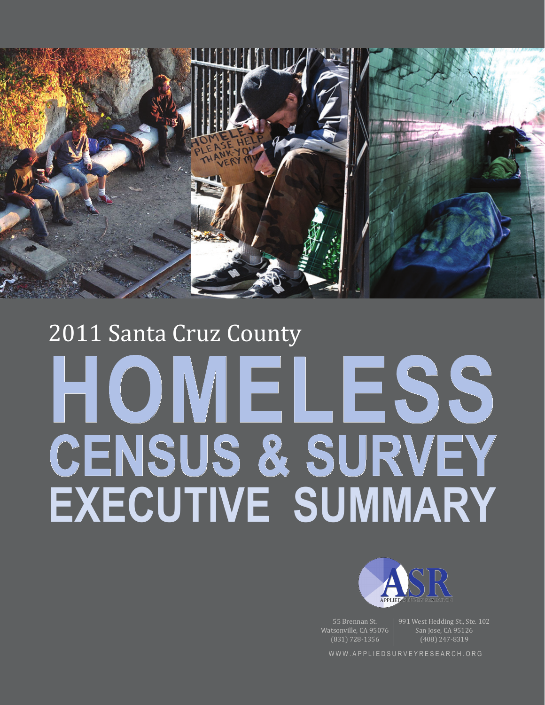

# 2011 Santa Cruz County **Homeless Census & Survey Executive summary**



55 Brennan St. Watsonville, CA 95076 (831) 728-1356

991 West Hedding St., Ste. 102 San Jose, CA 95126 (408) 247-8319

www.appliedsurveyresearch.org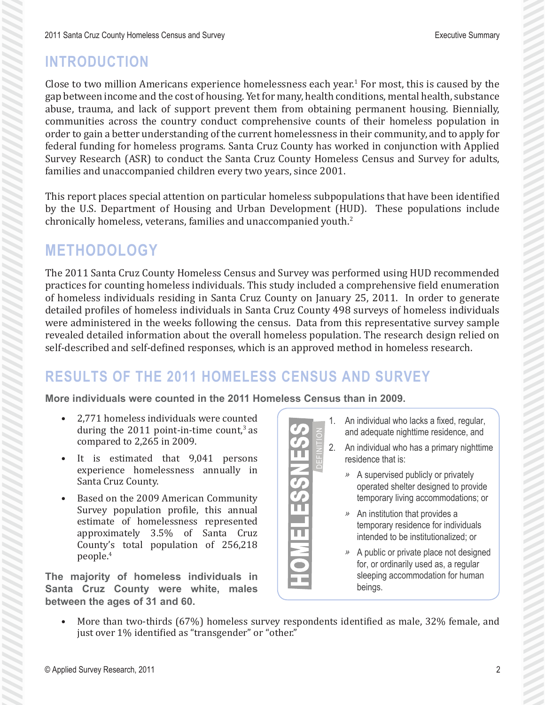## **Introduction**

Close to two million Americans experience homelessness each year.<sup>1</sup> For most, this is caused by the gap between income and the cost of housing. Yet for many, health conditions, mental health, substance abuse, trauma, and lack of support prevent them from obtaining permanent housing. Biennially, communities across the country conduct comprehensive counts of their homeless population in order to gain a better understanding of the current homelessness in their community, and to apply for federal funding for homeless programs. Santa Cruz County has worked in conjunction with Applied Survey Research (ASR) to conduct the Santa Cruz County Homeless Census and Survey for adults, families and unaccompanied children every two years, since 2001.

This report places special attention on particular homeless subpopulations that have been identified by the U.S. Department of Housing and Urban Development (HUD). These populations include chronically homeless, veterans, families and unaccompanied youth. $^2$ 

# **Methodology**

The 2011 Santa Cruz County Homeless Census and Survey was performed using HUD recommended practices for counting homeless individuals. This study included a comprehensive field enumeration of homeless individuals residing in Santa Cruz County on January 25, 2011. In order to generate detailed profiles of homeless individuals in Santa Cruz County 498 surveys of homeless individuals were administered in the weeks following the census. Data from this representative survey sample revealed detailed information about the overall homeless population. The research design relied on self-described and self-defined responses, which is an approved method in homeless research.

# **Results of the 2011 Homeless Census and Survey**

**More individuals were counted in the 2011 Homeless Census than in 2009.**

- 2,771 homeless individuals were counted during the 2011 point-in-time count, $3$  as compared to 2,265 in 2009.
- It is estimated that 9,041 persons experience homelessness annually in Santa Cruz County.
- Based on the 2009 American Community Survey population profile, this annual estimate of homelessness represented approximately 3.5% of Santa Cruz County's total population of 256,218 people.4

**The majority of homeless individuals in Santa Cruz County were white, males between the ages of 31 and 60.**



- 1. An individual who lacks a fixed, regular, and adequate nighttime residence, and
- 2. An individual who has a primary nighttime residence that is:
	- *ǿ* A supervised publicly or privately operated shelter designed to provide temporary living accommodations; or
	- *ǿ* An institution that provides a temporary residence for individuals intended to be institutionalized; or
	- *ǿ* A public or private place not designed for, or ordinarily used as, a regular sleeping accommodation for human beings.
- More than two-thirds (67%) homeless survey respondents identified as male, 32% female, and just over 1% identified as "transgender" or "other."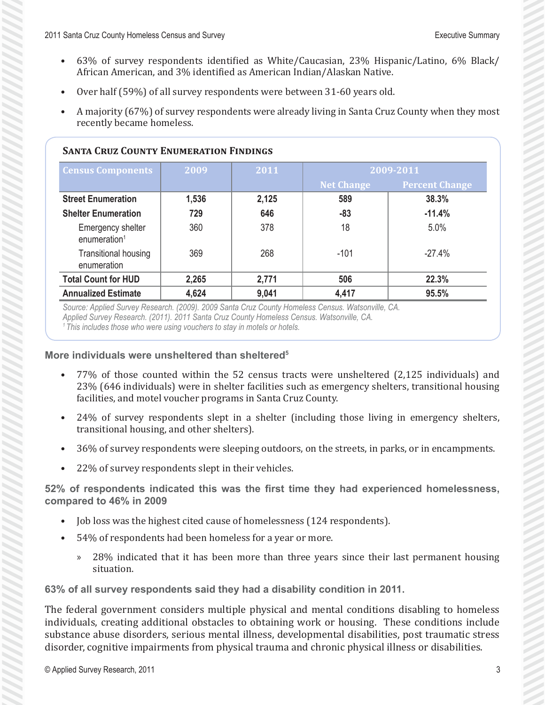- 63% of survey respondents identified as White/Caucasian, 23% Hispanic/Latino, 6% Black/ African American, and 3% identified as American Indian/Alaskan Native.
- Over half (59%) of all survey respondents were between 31-60 years old.
- A majority (67%) of survey respondents were already living in Santa Cruz County when they most recently became homeless.

#### **Santa Cruz County Enumeration Findings**

| <b>Census Components</b>                      | 2009  | 2011  | 2009-2011         |                       |
|-----------------------------------------------|-------|-------|-------------------|-----------------------|
|                                               |       |       | <b>Net Change</b> | <b>Percent Change</b> |
| <b>Street Enumeration</b>                     | 1,536 | 2,125 | 589               | 38.3%                 |
| <b>Shelter Enumeration</b>                    | 729   | 646   | -83               | $-11.4%$              |
| Emergency shelter<br>enumeration <sup>1</sup> | 360   | 378   | 18                | 5.0%                  |
| <b>Transitional housing</b><br>enumeration    | 369   | 268   | $-101$            | $-27.4%$              |
| <b>Total Count for HUD</b>                    | 2,265 | 2,771 | 506               | 22.3%                 |
| <b>Annualized Estimate</b>                    | 4,624 | 9,041 | 4,417             | 95.5%                 |

*Source: Applied Survey Research. (2009). 2009 Santa Cruz County Homeless Census. Watsonville, CA. Applied Survey Research. (2011). 2011 Santa Cruz County Homeless Census. Watsonville, CA.*

*1 This includes those who were using vouchers to stay in motels or hotels.*

#### **More individuals were unsheltered than sheltered5**

- 77% of those counted within the 52 census tracts were unsheltered (2,125 individuals) and 23% (646 individuals) were in shelter facilities such as emergency shelters, transitional housing facilities, and motel voucher programs in Santa Cruz County.
- 24% of survey respondents slept in a shelter (including those living in emergency shelters, transitional housing, and other shelters).
- 36% of survey respondents were sleeping outdoors, on the streets, in parks, or in encampments.
- 22% of survey respondents slept in their vehicles.

**52% of respondents indicated this was the first time they had experienced homelessness, compared to 46% in 2009**

- Job loss was the highest cited cause of homelessness (124 respondents).
- 54% of respondents had been homeless for a year or more.
	- » 28% indicated that it has been more than three years since their last permanent housing situation.

**63% of all survey respondents said they had a disability condition in 2011.**

The federal government considers multiple physical and mental conditions disabling to homeless individuals, creating additional obstacles to obtaining work or housing. These conditions include substance abuse disorders, serious mental illness, developmental disabilities, post traumatic stress disorder, cognitive impairments from physical trauma and chronic physical illness or disabilities.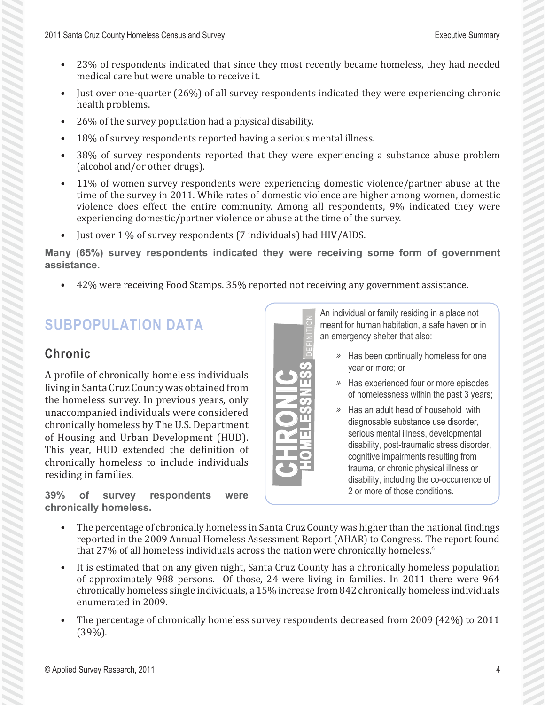- 23% of respondents indicated that since they most recently became homeless, they had needed medical care but were unable to receive it.
- Just over one-quarter (26%) of all survey respondents indicated they were experiencing chronic health problems.
- 26% of the survey population had a physical disability.
- 18% of survey respondents reported having a serious mental illness.
- 38% of survey respondents reported that they were experiencing a substance abuse problem (alcohol and/or other drugs).
- 11% of women survey respondents were experiencing domestic violence/partner abuse at the time of the survey in 2011. While rates of domestic violence are higher among women, domestic violence does effect the entire community. Among all respondents, 9% indicated they were experiencing domestic/partner violence or abuse at the time of the survey.
- Just over 1 % of survey respondents (7 individuals) had HIV/AIDS.

**Many (65%) survey respondents indicated they were receiving some form of government assistance.**

definition

**Homelessness**

• 42% were receiving Food Stamps. 35% reported not receiving any government assistance.

### **Subpopulation Data**

#### **Chronic**

A profile of chronically homeless individuals living in Santa Cruz County was obtained from the homeless survey. In previous years, only unaccompanied individuals were considered chronically homeless by The U.S. Department of Housing and Urban Development (HUD). This year, HUD extended the definition of chronically homeless to include individuals residing in families.

**39% of survey respondents were chronically homeless.** 

An individual or family residing in a place not meant for human habitation, a safe haven or in an emergency shelter that also:

- *ǿ* Has been continually homeless for one year or more; or
- *ǿ* Has experienced four or more episodes of homelessness within the past 3 years;
- *ǿ* Has an adult head of household with diagnosable substance use disorder, serious mental illness, developmental disability, post-traumatic stress disorder, cognitive impairments resulting from trauma, or chronic physical illness or disability, including the co-occurrence of 2 or more of those conditions.
- The percentage of chronically homeless in Santa Cruz County was higher than the national findings reported in the 2009 Annual Homeless Assessment Report (AHAR) to Congress. The report found that 27% of all homeless individuals across the nation were chronically homeless.6

**chroni**

**c**

- It is estimated that on any given night, Santa Cruz County has a chronically homeless population of approximately 988 persons. Of those, 24 were living in families. In 2011 there were 964 chronically homeless single individuals, a 15% increase from 842 chronically homeless individuals enumerated in 2009.
- The percentage of chronically homeless survey respondents decreased from 2009 (42%) to 2011 (39%).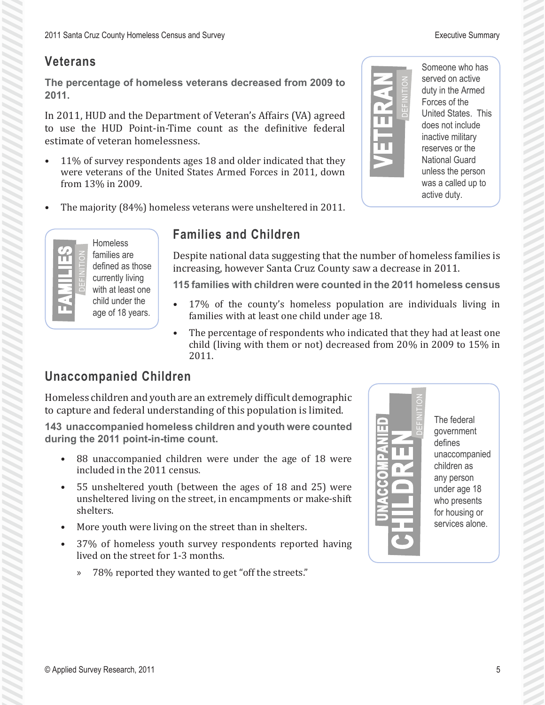#### **Veterans**

**The percentage of homeless veterans decreased from 2009 to 2011.**

In 2011, HUD and the Department of Veteran's Affairs (VA) agreed to use the HUD Point-in-Time count as the definitive federal estimate of veteran homelessness.

- 11% of survey respondents ages 18 and older indicated that they were veterans of the United States Armed Forces in 2011, down from 13% in 2009.
- The majority (84%) homeless veterans were unsheltered in 2011.



Someone who has served on active duty in the Armed Forces of the United States. This does not include inactive military reserves or the National Guard unless the person was a called up to active duty.



Homeless families are defined as those currently living with at least one child under the age of 18 years.

#### **Families and Children**

Despite national data suggesting that the number of homeless families is increasing, however Santa Cruz County saw a decrease in 2011.

**115 families with children were counted in the 2011 homeless census**

- 17% of the county's homeless population are individuals living in families with at least one child under age 18.
- The percentage of respondents who indicated that they had at least one child (living with them or not) decreased from 20% in 2009 to 15% in 2011.

#### **Unaccompanied Children**

Homeless children and youth are an extremely difficult demographic to capture and federal understanding of this population is limited.

**143 unaccompanied homeless children and youth were counted during the 2011 point-in-time count.**

- 88 unaccompanied children were under the age of 18 were included in the 2011 census.
- 55 unsheltered youth (between the ages of 18 and 25) were unsheltered living on the street, in encampments or make-shift shelters.
- More youth were living on the street than in shelters.
- 37% of homeless youth survey respondents reported having lived on the street for 1-3 months.
	- » 78% reported they wanted to get "off the streets."



The federal government defines unaccompanied children as any person under age 18 who presents for housing or services alone.